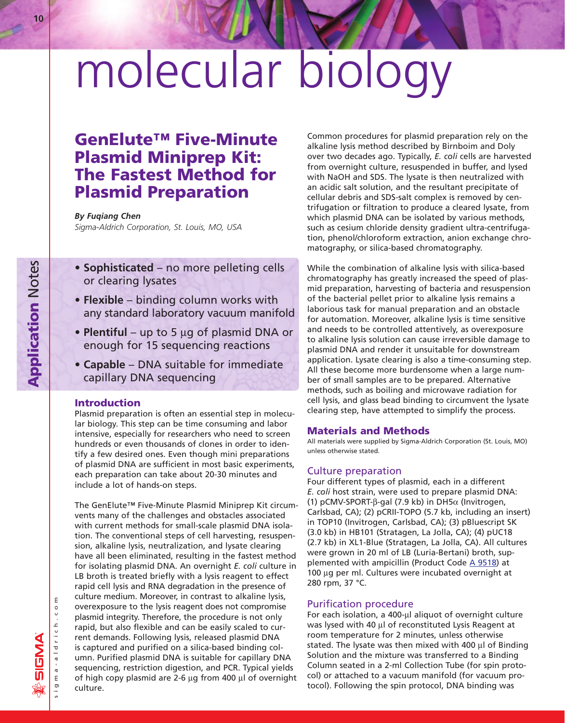# molecular biology

# **GenElute™ Five-Minute Plasmid Miniprep Kit: The Fastest Method for Plasmid Preparation**

# *By Fuqiang Chen*

*Sigma-Aldrich Corporation, St. Louis, MO, USA*

- **Sophisticated** no more pelleting cells or clearing lysates
- **Flexible** binding column works with any standard laboratory vacuum manifold
- **Plentiful** up to 5 µg of plasmid DNA or enough for 15 sequencing reactions
- **Capable** DNA suitable for immediate capillary DNA sequencing

# **Introduction**

Plasmid preparation is often an essential step in molecular biology. This step can be time consuming and labor intensive, especially for researchers who need to screen hundreds or even thousands of clones in order to identify a few desired ones. Even though mini preparations of plasmid DNA are sufficient in most basic experiments, each preparation can take about 20-30 minutes and include a lot of hands-on steps.

The GenElute™ Five-Minute Plasmid Miniprep Kit circumvents many of the challenges and obstacles associated with current methods for small-scale plasmid DNA isolation. The conventional steps of cell harvesting, resuspension, alkaline lysis, neutralization, and lysate clearing have all been eliminated, resulting in the fastest method for isolating plasmid DNA. An overnight *E. coli* culture in LB broth is treated briefly with a lysis reagent to effect rapid cell lysis and RNA degradation in the presence of culture medium. Moreover, in contrast to alkaline lysis, overexposure to the lysis reagent does not compromise plasmid integrity. Therefore, the procedure is not only rapid, but also flexible and can be easily scaled to current demands. Following lysis, released plasmid DNA is captured and purified on a silica-based binding column. Purified plasmid DNA is suitable for capillary DNA sequencing, restriction digestion, and PCR. Typical yields of high copy plasmid are 2-6  $\mu$ g from 400  $\mu$ l of overnight culture.

Common procedures for plasmid preparation rely on the alkaline lysis method described by Birnboim and Doly over two decades ago. Typically, *E. coli* cells are harvested from overnight culture, resuspended in buffer, and lysed with NaOH and SDS. The lysate is then neutralized with an acidic salt solution, and the resultant precipitate of cellular debris and SDS-salt complex is removed by centrifugation or filtration to produce a cleared lysate, from which plasmid DNA can be isolated by various methods, such as cesium chloride density gradient ultra-centrifugation, phenol/chloroform extraction, anion exchange chromatography, or silica-based chromatography.

While the combination of alkaline lysis with silica-based chromatography has greatly increased the speed of plasmid preparation, harvesting of bacteria and resuspension of the bacterial pellet prior to alkaline lysis remains a laborious task for manual preparation and an obstacle for automation. Moreover, alkaline lysis is time sensitive and needs to be controlled attentively, as overexposure to alkaline lysis solution can cause irreversible damage to plasmid DNA and render it unsuitable for downstream application. Lysate clearing is also a time-consuming step. All these become more burdensome when a large number of small samples are to be prepared. Alternative methods, such as boiling and microwave radiation for cell lysis, and glass bead binding to circumvent the lysate clearing step, have attempted to simplify the process.

## **Materials and Methods**

All materials were supplied by Sigma-Aldrich Corporation (St. Louis, MO) unless otherwise stated.

#### Culture preparation

Four different types of plasmid, each in a different *E. coli* host strain, were used to prepare plasmid DNA: (1) pCMV-SPORT- $\beta$ -gal (7.9 kb) in DH5 $\alpha$  (Invitrogen, Carlsbad, CA); (2) pCRII-TOPO (5.7 kb, including an insert) in TOP10 (Invitrogen, Carlsbad, CA); (3) pBluescript SK (3.0 kb) in HB101 (Stratagen, La Jolla, CA); (4) pUC18 (2.7 kb) in XL1-Blue (Stratagen, La Jolla, CA). All cultures were grown in 20 ml of LB (Luria-Bertani) broth, supplemented with ampicillin (Product Code  $\triangle$  9518) at 100  $\mu$ g per ml. Cultures were incubated overnight at 280 rpm, 37 °C.

#### Purification procedure

For each isolation, a 400-µl aliquot of overnight culture was lysed with 40 µl of reconstituted Lysis Reagent at room temperature for 2 minutes, unless otherwise stated. The lysate was then mixed with 400  $\mu$ l of Binding Solution and the mixture was transferred to a Binding Column seated in a 2-ml Collection Tube (for spin protocol) or attached to a vacuum manifold (for vacuum protocol). Following the spin protocol, DNA binding was

**10**

**Application** Notes

**Application Notes** 

sigma-aldrich.com

igma-aldrich.co

 $\mathsf E$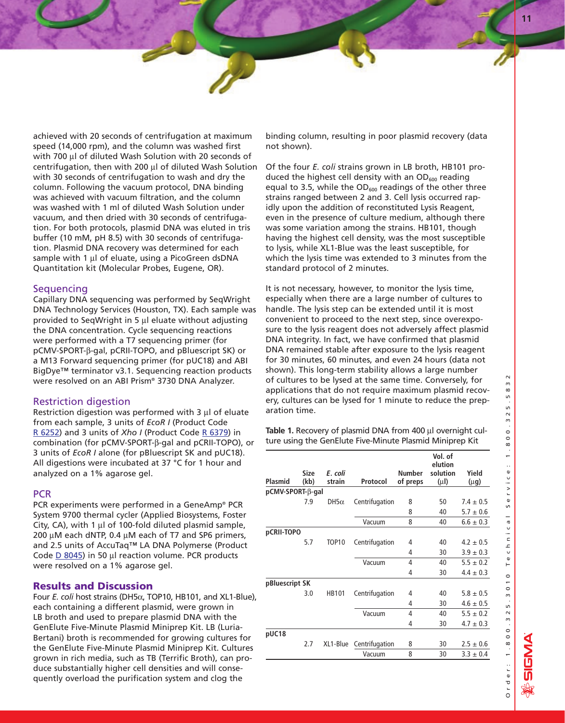achieved with 20 seconds of centrifugation at maximum speed (14,000 rpm), and the column was washed first with 700 µl of diluted Wash Solution with 20 seconds of centrifugation, then with 200  $\mu$ l of diluted Wash Solution with 30 seconds of centrifugation to wash and dry the column. Following the vacuum protocol, DNA binding was achieved with vacuum filtration, and the column was washed with 1 ml of diluted Wash Solution under vacuum, and then dried with 30 seconds of centrifugation. For both protocols, plasmid DNA was eluted in tris buffer (10 mM, pH 8.5) with 30 seconds of centrifugation. Plasmid DNA recovery was determined for each sample with 1  $\mu$ l of eluate, using a PicoGreen dsDNA Quantitation kit (Molecular Probes, Eugene, OR).

# **Sequencing**

Capillary DNA sequencing was performed by SeqWright DNA Technology Services (Houston, TX). Each sample was provided to SeqWright in 5  $\mu$ l eluate without adjusting the DNA concentration. Cycle sequencing reactions were performed with a T7 sequencing primer (for pCMV-SPORT-b-gal, pCRII-TOPO, and pBluescript SK) or a M13 Forward sequencing primer (for pUC18) and ABI BigDye™ terminator v3.1. Sequencing reaction products were resolved on an ABI Prism® 3730 DNA Analyzer.

# Restriction digestion

Restriction digestion was performed with  $3 \mu$  of eluate from each sample, 3 units of *EcoR I* (Product Code [R 6252\)](http://www.sigma-aldrich.com/ProductLookup.html?ProdNo=R6252&Brand=SIGMA) and 3 units of *Xho I* (Product Co[de R 6379\) i](http://www.sigma-aldrich.com/ProductLookup.html?ProdNo=R6379&Brand=SIGMA)n combination (for pCMV-SPORT-b-gal and pCRII-TOPO), or 3 units of *EcoR I* alone (for pBluescript SK and pUC18). All digestions were incubated at 37 °C for 1 hour and analyzed on a 1% agarose gel.

#### PCR

PCR experiments were performed in a GeneAmp® PCR System 9700 thermal cycler (Applied Biosystems, Foster City,  $CA$ ), with 1  $\mu$ l of 100-fold diluted plasmid sample, 200  $\mu$ M each dNTP, 0.4  $\mu$ M each of T7 and SP6 primers, and 2.5 units of AccuTaq™ LA DNA Polymerse (Product Code  $D$  8045) in 50  $\mu$ l reaction volume. PCR products were resolved on a 1% agarose gel.

# **Results and Discussion**

Four *E. coli* host strains (DH5a, TOP10, HB101, and XL1-Blue), each containing a different plasmid, were grown in LB broth and used to prepare plasmid DNA with the GenElute Five-Minute Plasmid Miniprep Kit. LB (Luria-Bertani) broth is recommended for growing cultures for the GenElute Five-Minute Plasmid Miniprep Kit. Cultures grown in rich media, such as TB (Terrific Broth), can produce substantially higher cell densities and will consequently overload the purification system and clog the

binding column, resulting in poor plasmid recovery (data not shown).

Of the four *E. coli* strains grown in LB broth, HB101 produced the highest cell density with an  $OD<sub>600</sub>$  reading equal to 3.5, while the  $OD_{600}$  readings of the other three strains ranged between 2 and 3. Cell lysis occurred rapidly upon the addition of reconstituted Lysis Reagent, even in the presence of culture medium, although there was some variation among the strains. HB101, though having the highest cell density, was the most susceptible to lysis, while XL1-Blue was the least susceptible, for which the lysis time was extended to 3 minutes from the standard protocol of 2 minutes.

It is not necessary, however, to monitor the lysis time, especially when there are a large number of cultures to handle. The lysis step can be extended until it is most convenient to proceed to the next step, since overexposure to the lysis reagent does not adversely affect plasmid DNA integrity. In fact, we have confirmed that plasmid DNA remained stable after exposure to the lysis reagent for 30 minutes, 60 minutes, and even 24 hours (data not shown). This long-term stability allows a large number of cultures to be lysed at the same time. Conversely, for applications that do not require maximum plasmid recovery, cultures can be lysed for 1 minute to reduce the preparation time.

Table 1. Recovery of plasmid DNA from 400 µl overnight culture using the GenElute Five-Minute Plasmid Miniprep Kit

| Plasmid          | Size<br>(kb) | E. coli<br>strain | Protocol       | <b>Number</b><br>of preps | Vol. of<br>elution<br>solution<br>$(\mu I)$ | Yield<br>(µg) |
|------------------|--------------|-------------------|----------------|---------------------------|---------------------------------------------|---------------|
| pCMV-SPORT-B-gal |              |                   |                |                           |                                             |               |
|                  | 7.9          | $DH5\alpha$       | Centrifugation | 8                         | 50                                          | $7.4 \pm 0.5$ |
|                  |              |                   |                | 8                         | 40                                          | $5.7 \pm 0.6$ |
|                  |              |                   | Vacuum         | 8                         | 40                                          | $6.6 \pm 0.3$ |
| pCRII-TOPO       |              |                   |                |                           |                                             |               |
|                  | 5.7          | TOP <sub>10</sub> | Centrifugation | 4                         | 40                                          | $4.2 \pm 0.5$ |
|                  |              |                   |                | 4                         | 30                                          | $3.9 \pm 0.3$ |
|                  |              |                   | Vacuum         | 4                         | 40                                          | $5.5 \pm 0.2$ |
|                  |              |                   |                | 4                         | 30                                          | $4.4 \pm 0.3$ |
| pBluescript SK   |              |                   |                |                           |                                             |               |
|                  | 3.0          | <b>HB101</b>      | Centrifugation | 4                         | 40                                          | $5.8 \pm 0.5$ |
|                  |              |                   |                | 4                         | 30                                          | $4.6 \pm 0.5$ |
|                  |              |                   | Vacuum         | $\overline{4}$            | 40                                          | $5.5 \pm 0.2$ |
|                  |              |                   |                | 4                         | 30                                          | $4.7 \pm 0.3$ |
| pUC18            |              |                   |                |                           |                                             |               |
|                  | 2.7          | XL1-Blue          | Centrifugation | 8                         | 30                                          | $2.5 \pm 0.6$ |
|                  |              |                   | Vacuum         | 8                         | 30                                          | $3.3 \pm 0.4$ |

<u>Sigm</u>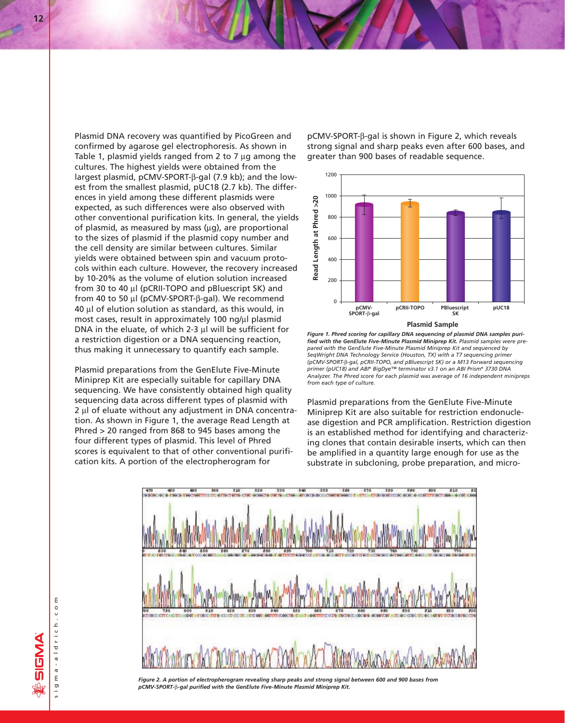Plasmid DNA recovery was quantified by PicoGreen and confirmed by agarose gel electrophoresis. As shown in Table 1, plasmid yields ranged from 2 to 7  $\mu$ g among the cultures. The highest yields were obtained from the largest plasmid, pCMV-SPORT-β-gal (7.9 kb); and the lowest from the smallest plasmid, pUC18 (2.7 kb). The differences in yield among these different plasmids were expected, as such differences were also observed with other conventional purification kits. In general, the yields of plasmid, as measured by mass  $(\mu q)$ , are proportional to the sizes of plasmid if the plasmid copy number and the cell density are similar between cultures. Similar yields were obtained between spin and vacuum protocols within each culture. However, the recovery increased by 10-20% as the volume of elution solution increased from 30 to 40  $\mu$  (pCRII-TOPO and pBluescript SK) and from 40 to 50  $\mu$ l (pCMV-SPORT- $\beta$ -gal). We recommend 40 µl of elution solution as standard, as this would, in most cases, result in approximately 100 ng/ $\mu$ l plasmid DNA in the eluate, of which 2-3  $\mu$ l will be sufficient for a restriction digestion or a DNA sequencing reaction, thus making it unnecessary to quantify each sample.

Plasmid preparations from the GenElute Five-Minute Miniprep Kit are especially suitable for capillary DNA sequencing. We have consistently obtained high quality sequencing data across different types of plasmid with 2 µl of eluate without any adjustment in DNA concentration. As shown in Figure 1, the average Read Length at Phred > 20 ranged from 868 to 945 bases among the four different types of plasmid. This level of Phred scores is equivalent to that of other conventional purification kits. A portion of the electropherogram for

pCMV-SPORT-β-gal is shown in Figure 2, which reveals strong signal and sharp peaks even after 600 bases, and greater than 900 bases of readable sequence.



*Figure 1. Phred scoring for capillary DNA sequencing of plasmid DNA samples purified with the GenElute Five-Minute Plasmid Miniprep Kit. Plasmid samples were prepared with the GenElute Five-Minute Plasmid Miniprep Kit and sequenced by SeqWright DNA Technology Service (Houston, TX) with a T7 sequencing primer (pCMV-SPORT-*b-*gal, pCRII-TOPO, and pBluescript SK) or a M13 Forward sequencing primer (pUC18) and ABI® BigDye™ terminator v3.1 on an ABI Prism® 3730 DNA Analyzer. The Phred score for each plasmid was average of 16 independent minipreps from each type of culture.*

Plasmid preparations from the GenElute Five-Minute Miniprep Kit are also suitable for restriction endonuclease digestion and PCR amplification. Restriction digestion is an established method for identifying and characterizing clones that contain desirable inserts, which can then be amplified in a quantity large enough for use as the substrate in subcloning, probe preparation, and micro-



*Figure 2. A portion of electropherogram revealing sharp peaks and strong signal between 600 and 900 bases from pCMV-SPORT-*b*-gal purified with the GenElute Five-Minute Plasmid Miniprep Kit.*

**ANSIS**